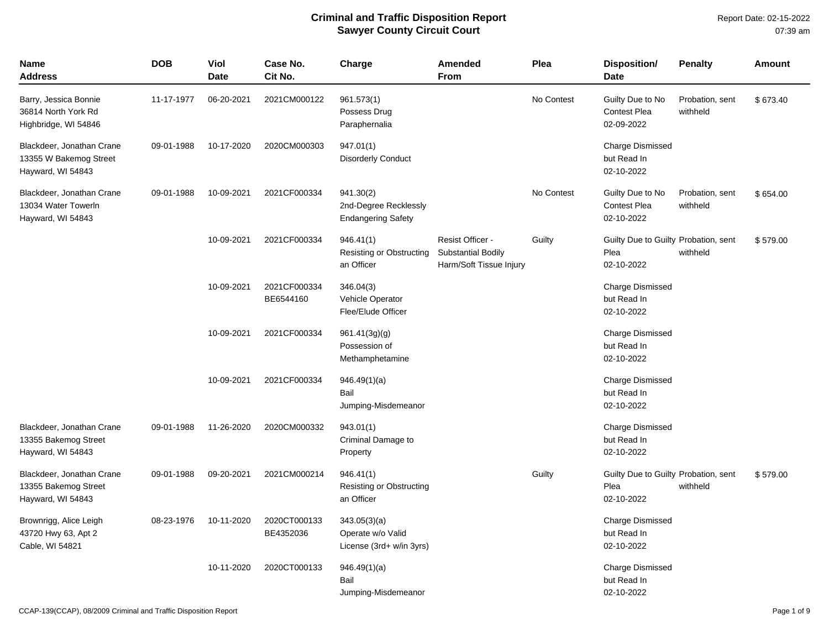| Name<br><b>Address</b>                                                   | <b>DOB</b> | Viol<br><b>Date</b> | Case No.<br>Cit No.       | Charge                                                          | <b>Amended</b><br><b>From</b>                                     | Plea       | <b>Disposition/</b><br><b>Date</b>                         | <b>Penalty</b>              | <b>Amount</b> |
|--------------------------------------------------------------------------|------------|---------------------|---------------------------|-----------------------------------------------------------------|-------------------------------------------------------------------|------------|------------------------------------------------------------|-----------------------------|---------------|
| Barry, Jessica Bonnie<br>36814 North York Rd<br>Highbridge, WI 54846     | 11-17-1977 | 06-20-2021          | 2021CM000122              | 961.573(1)<br>Possess Drug<br>Paraphernalia                     |                                                                   | No Contest | Guilty Due to No<br><b>Contest Plea</b><br>02-09-2022      | Probation, sent<br>withheld | \$673.40      |
| Blackdeer, Jonathan Crane<br>13355 W Bakemog Street<br>Hayward, WI 54843 | 09-01-1988 | 10-17-2020          | 2020CM000303              | 947.01(1)<br><b>Disorderly Conduct</b>                          |                                                                   |            | <b>Charge Dismissed</b><br>but Read In<br>02-10-2022       |                             |               |
| Blackdeer, Jonathan Crane<br>13034 Water Towerln<br>Hayward, WI 54843    | 09-01-1988 | 10-09-2021          | 2021CF000334              | 941.30(2)<br>2nd-Degree Recklessly<br><b>Endangering Safety</b> |                                                                   | No Contest | Guilty Due to No<br><b>Contest Plea</b><br>02-10-2022      | Probation, sent<br>withheld | \$654.00      |
|                                                                          |            | 10-09-2021          | 2021CF000334              | 946.41(1)<br>Resisting or Obstructing<br>an Officer             | Resist Officer -<br>Substantial Bodily<br>Harm/Soft Tissue Injury | Guilty     | Guilty Due to Guilty Probation, sent<br>Plea<br>02-10-2022 | withheld                    | \$579.00      |
|                                                                          |            | 10-09-2021          | 2021CF000334<br>BE6544160 | 346.04(3)<br>Vehicle Operator<br>Flee/Elude Officer             |                                                                   |            | <b>Charge Dismissed</b><br>but Read In<br>02-10-2022       |                             |               |
|                                                                          |            | 10-09-2021          | 2021CF000334              | 961.41(3g)(g)<br>Possession of<br>Methamphetamine               |                                                                   |            | <b>Charge Dismissed</b><br>but Read In<br>02-10-2022       |                             |               |
|                                                                          |            | 10-09-2021          | 2021CF000334              | 946.49(1)(a)<br>Bail<br>Jumping-Misdemeanor                     |                                                                   |            | <b>Charge Dismissed</b><br>but Read In<br>02-10-2022       |                             |               |
| Blackdeer, Jonathan Crane<br>13355 Bakemog Street<br>Hayward, WI 54843   | 09-01-1988 | 11-26-2020          | 2020CM000332              | 943.01(1)<br>Criminal Damage to<br>Property                     |                                                                   |            | <b>Charge Dismissed</b><br>but Read In<br>02-10-2022       |                             |               |
| Blackdeer, Jonathan Crane<br>13355 Bakemog Street<br>Hayward, WI 54843   | 09-01-1988 | 09-20-2021          | 2021CM000214              | 946.41(1)<br>Resisting or Obstructing<br>an Officer             |                                                                   | Guilty     | Guilty Due to Guilty Probation, sent<br>Plea<br>02-10-2022 | withheld                    | \$579.00      |
| Brownrigg, Alice Leigh<br>43720 Hwy 63, Apt 2<br>Cable, WI 54821         | 08-23-1976 | 10-11-2020          | 2020CT000133<br>BE4352036 | 343.05(3)(a)<br>Operate w/o Valid<br>License (3rd+ w/in 3yrs)   |                                                                   |            | <b>Charge Dismissed</b><br>but Read In<br>02-10-2022       |                             |               |
|                                                                          |            | 10-11-2020          | 2020CT000133              | 946.49(1)(a)<br>Bail<br>Jumping-Misdemeanor                     |                                                                   |            | <b>Charge Dismissed</b><br>but Read In<br>02-10-2022       |                             |               |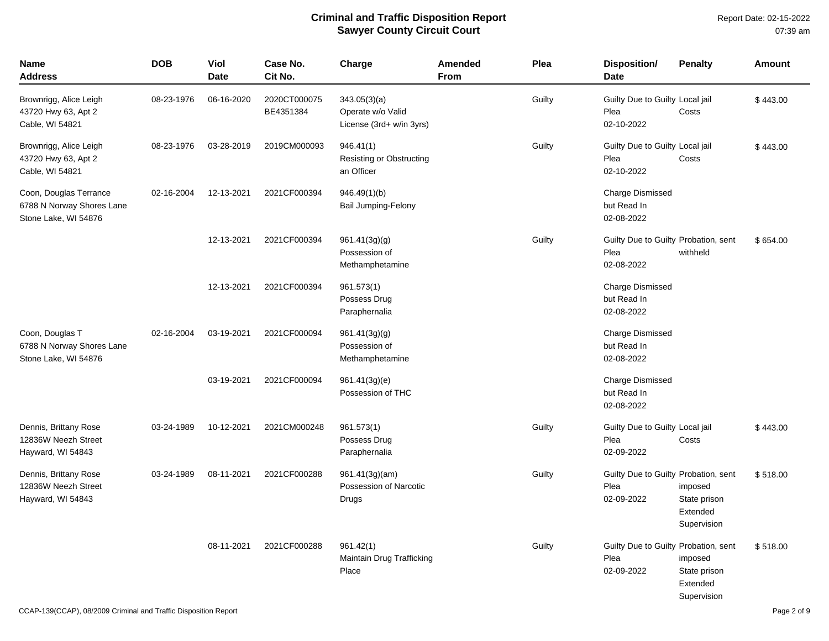Report Date: 02-15-2022 07:39 am

| <b>Name</b><br><b>Address</b>                                               | <b>DOB</b> | <b>Viol</b><br><b>Date</b> | Case No.<br>Cit No.       | Charge                                                        | <b>Amended</b><br>From | Plea   | <b>Disposition/</b><br><b>Date</b>                         | <b>Penalty</b>                                     | Amount   |
|-----------------------------------------------------------------------------|------------|----------------------------|---------------------------|---------------------------------------------------------------|------------------------|--------|------------------------------------------------------------|----------------------------------------------------|----------|
| Brownrigg, Alice Leigh<br>43720 Hwy 63, Apt 2<br>Cable, WI 54821            | 08-23-1976 | 06-16-2020                 | 2020CT000075<br>BE4351384 | 343.05(3)(a)<br>Operate w/o Valid<br>License (3rd+ w/in 3yrs) |                        | Guilty | Guilty Due to Guilty Local jail<br>Plea<br>02-10-2022      | Costs                                              | \$443.00 |
| Brownrigg, Alice Leigh<br>43720 Hwy 63, Apt 2<br>Cable, WI 54821            | 08-23-1976 | 03-28-2019                 | 2019CM000093              | 946.41(1)<br>Resisting or Obstructing<br>an Officer           |                        | Guilty | Guilty Due to Guilty Local jail<br>Plea<br>02-10-2022      | Costs                                              | \$443.00 |
| Coon, Douglas Terrance<br>6788 N Norway Shores Lane<br>Stone Lake, WI 54876 | 02-16-2004 | 12-13-2021                 | 2021CF000394              | 946.49(1)(b)<br><b>Bail Jumping-Felony</b>                    |                        |        | <b>Charge Dismissed</b><br>but Read In<br>02-08-2022       |                                                    |          |
|                                                                             |            | 12-13-2021                 | 2021CF000394              | 961.41(3g)(g)<br>Possession of<br>Methamphetamine             |                        | Guilty | Guilty Due to Guilty Probation, sent<br>Plea<br>02-08-2022 | withheld                                           | \$654.00 |
|                                                                             |            | 12-13-2021                 | 2021CF000394              | 961.573(1)<br>Possess Drug<br>Paraphernalia                   |                        |        | <b>Charge Dismissed</b><br>but Read In<br>02-08-2022       |                                                    |          |
| Coon, Douglas T<br>6788 N Norway Shores Lane<br>Stone Lake, WI 54876        | 02-16-2004 | 03-19-2021                 | 2021CF000094              | 961.41(3g)(g)<br>Possession of<br>Methamphetamine             |                        |        | <b>Charge Dismissed</b><br>but Read In<br>02-08-2022       |                                                    |          |
|                                                                             |            | 03-19-2021                 | 2021CF000094              | 961.41(3g)(e)<br>Possession of THC                            |                        |        | <b>Charge Dismissed</b><br>but Read In<br>02-08-2022       |                                                    |          |
| Dennis, Brittany Rose<br>12836W Neezh Street<br>Hayward, WI 54843           | 03-24-1989 | 10-12-2021                 | 2021CM000248              | 961.573(1)<br>Possess Drug<br>Paraphernalia                   |                        | Guilty | Guilty Due to Guilty Local jail<br>Plea<br>02-09-2022      | Costs                                              | \$443.00 |
| Dennis, Brittany Rose<br>12836W Neezh Street<br>Hayward, WI 54843           | 03-24-1989 | 08-11-2021                 | 2021CF000288              | 961.41(3g)(am)<br>Possession of Narcotic<br>Drugs             |                        | Guilty | Guilty Due to Guilty Probation, sent<br>Plea<br>02-09-2022 | imposed<br>State prison<br>Extended<br>Supervision | \$518.00 |
|                                                                             |            | 08-11-2021                 | 2021CF000288              | 961.42(1)<br>Maintain Drug Trafficking<br>Place               |                        | Guilty | Guilty Due to Guilty Probation, sent<br>Plea<br>02-09-2022 | imposed<br>State prison<br>Extended<br>Supervision | \$518.00 |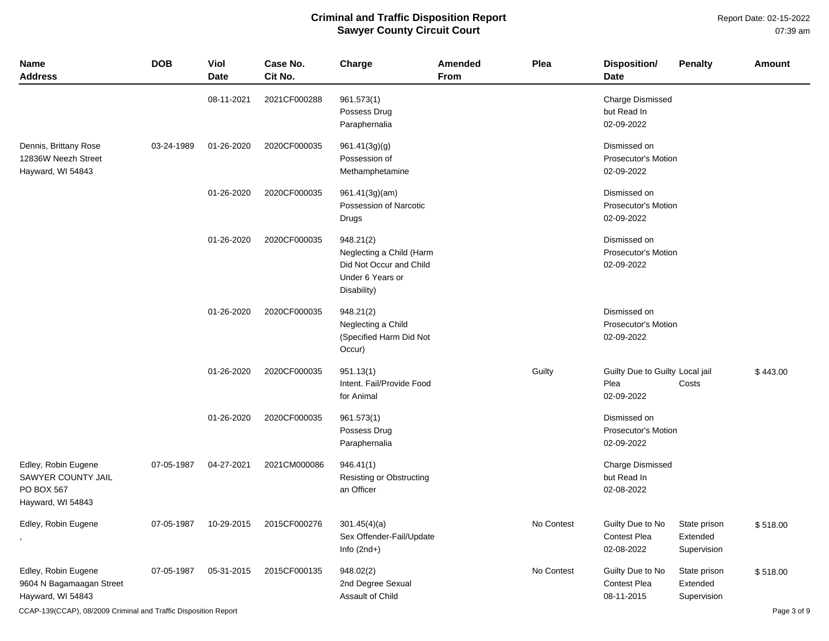Report Date: 02-15-2022 07:39 am

| <b>Name</b><br><b>Address</b>                                                | <b>DOB</b> | <b>Viol</b><br><b>Date</b> | Case No.<br>Cit No. | Charge                                                                                              | <b>Amended</b><br><b>From</b> | Plea       | <b>Disposition/</b><br><b>Date</b>                       | <b>Penalty</b>                          | Amount   |
|------------------------------------------------------------------------------|------------|----------------------------|---------------------|-----------------------------------------------------------------------------------------------------|-------------------------------|------------|----------------------------------------------------------|-----------------------------------------|----------|
|                                                                              |            | 08-11-2021                 | 2021CF000288        | 961.573(1)<br>Possess Drug<br>Paraphernalia                                                         |                               |            | Charge Dismissed<br>but Read In<br>02-09-2022            |                                         |          |
| Dennis, Brittany Rose<br>12836W Neezh Street<br>Hayward, WI 54843            | 03-24-1989 | 01-26-2020                 | 2020CF000035        | 961.41(3g)(g)<br>Possession of<br>Methamphetamine                                                   |                               |            | Dismissed on<br><b>Prosecutor's Motion</b><br>02-09-2022 |                                         |          |
|                                                                              |            | 01-26-2020                 | 2020CF000035        | 961.41(3g)(am)<br>Possession of Narcotic<br>Drugs                                                   |                               |            | Dismissed on<br><b>Prosecutor's Motion</b><br>02-09-2022 |                                         |          |
|                                                                              |            | 01-26-2020                 | 2020CF000035        | 948.21(2)<br>Neglecting a Child (Harm<br>Did Not Occur and Child<br>Under 6 Years or<br>Disability) |                               |            | Dismissed on<br>Prosecutor's Motion<br>02-09-2022        |                                         |          |
|                                                                              |            | 01-26-2020                 | 2020CF000035        | 948.21(2)<br>Neglecting a Child<br>(Specified Harm Did Not<br>Occur)                                |                               |            | Dismissed on<br>Prosecutor's Motion<br>02-09-2022        |                                         |          |
|                                                                              |            | 01-26-2020                 | 2020CF000035        | 951.13(1)<br>Intent. Fail/Provide Food<br>for Animal                                                |                               | Guilty     | Guilty Due to Guilty Local jail<br>Plea<br>02-09-2022    | Costs                                   | \$443.00 |
|                                                                              |            | 01-26-2020                 | 2020CF000035        | 961.573(1)<br>Possess Drug<br>Paraphernalia                                                         |                               |            | Dismissed on<br>Prosecutor's Motion<br>02-09-2022        |                                         |          |
| Edley, Robin Eugene<br>SAWYER COUNTY JAIL<br>PO BOX 567<br>Hayward, WI 54843 | 07-05-1987 | 04-27-2021                 | 2021CM000086        | 946.41(1)<br><b>Resisting or Obstructing</b><br>an Officer                                          |                               |            | Charge Dismissed<br>but Read In<br>02-08-2022            |                                         |          |
| Edley, Robin Eugene                                                          | 07-05-1987 | 10-29-2015                 | 2015CF000276        | 301.45(4)(a)<br>Sex Offender-Fail/Update<br>Info $(2nd+)$                                           |                               | No Contest | Guilty Due to No<br><b>Contest Plea</b><br>02-08-2022    | State prison<br>Extended<br>Supervision | \$518.00 |
| Edley, Robin Eugene<br>9604 N Bagamaagan Street<br>Hayward, WI 54843         | 07-05-1987 | 05-31-2015                 | 2015CF000135        | 948.02(2)<br>2nd Degree Sexual<br>Assault of Child                                                  |                               | No Contest | Guilty Due to No<br><b>Contest Plea</b><br>08-11-2015    | State prison<br>Extended<br>Supervision | \$518.00 |

CCAP-139(CCAP), 08/2009 Criminal and Traffic Disposition Report **Page 3 of 9** and Traffic Disposition Report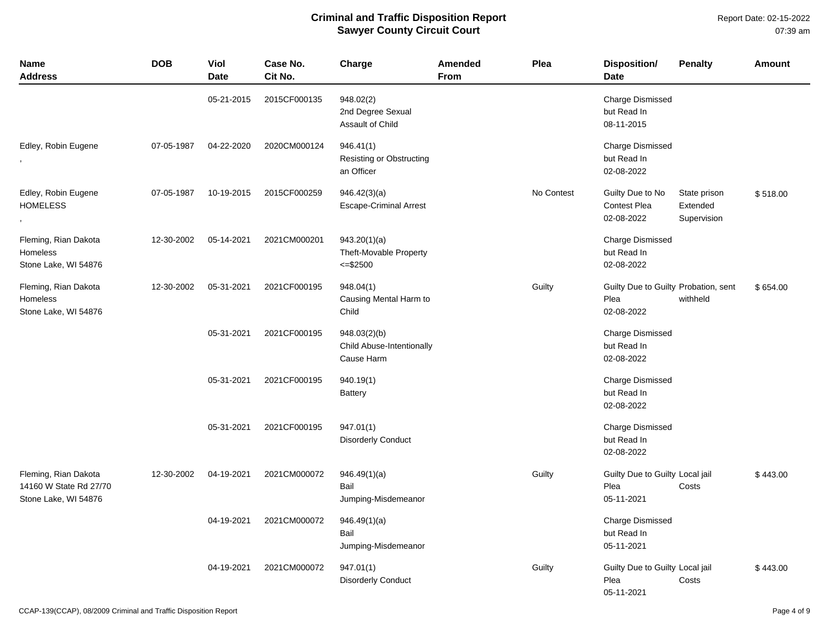| <b>Name</b><br><b>Address</b>                                          | <b>DOB</b> | Viol<br><b>Date</b> | Case No.<br>Cit No. | Charge                                                  | Amended<br><b>From</b> | Plea       | <b>Disposition/</b><br><b>Date</b>                         | <b>Penalty</b>                          | <b>Amount</b> |
|------------------------------------------------------------------------|------------|---------------------|---------------------|---------------------------------------------------------|------------------------|------------|------------------------------------------------------------|-----------------------------------------|---------------|
|                                                                        |            | 05-21-2015          | 2015CF000135        | 948.02(2)<br>2nd Degree Sexual<br>Assault of Child      |                        |            | Charge Dismissed<br>but Read In<br>08-11-2015              |                                         |               |
| Edley, Robin Eugene                                                    | 07-05-1987 | 04-22-2020          | 2020CM000124        | 946.41(1)<br>Resisting or Obstructing<br>an Officer     |                        |            | Charge Dismissed<br>but Read In<br>02-08-2022              |                                         |               |
| Edley, Robin Eugene<br><b>HOMELESS</b>                                 | 07-05-1987 | 10-19-2015          | 2015CF000259        | 946.42(3)(a)<br><b>Escape-Criminal Arrest</b>           |                        | No Contest | Guilty Due to No<br>Contest Plea<br>02-08-2022             | State prison<br>Extended<br>Supervision | \$518.00      |
| Fleming, Rian Dakota<br>Homeless<br>Stone Lake, WI 54876               | 12-30-2002 | 05-14-2021          | 2021CM000201        | 943.20(1)(a)<br>Theft-Movable Property<br>$= $2500$     |                        |            | <b>Charge Dismissed</b><br>but Read In<br>02-08-2022       |                                         |               |
| Fleming, Rian Dakota<br>Homeless<br>Stone Lake, WI 54876               | 12-30-2002 | 05-31-2021          | 2021CF000195        | 948.04(1)<br>Causing Mental Harm to<br>Child            |                        | Guilty     | Guilty Due to Guilty Probation, sent<br>Plea<br>02-08-2022 | withheld                                | \$654.00      |
|                                                                        |            | 05-31-2021          | 2021CF000195        | 948.03(2)(b)<br>Child Abuse-Intentionally<br>Cause Harm |                        |            | Charge Dismissed<br>but Read In<br>02-08-2022              |                                         |               |
|                                                                        |            | 05-31-2021          | 2021CF000195        | 940.19(1)<br><b>Battery</b>                             |                        |            | <b>Charge Dismissed</b><br>but Read In<br>02-08-2022       |                                         |               |
|                                                                        |            | 05-31-2021          | 2021CF000195        | 947.01(1)<br><b>Disorderly Conduct</b>                  |                        |            | <b>Charge Dismissed</b><br>but Read In<br>02-08-2022       |                                         |               |
| Fleming, Rian Dakota<br>14160 W State Rd 27/70<br>Stone Lake, WI 54876 | 12-30-2002 | 04-19-2021          | 2021CM000072        | 946.49(1)(a)<br>Bail<br>Jumping-Misdemeanor             |                        | Guilty     | Guilty Due to Guilty Local jail<br>Plea<br>05-11-2021      | Costs                                   | \$443.00      |
|                                                                        |            | 04-19-2021          | 2021CM000072        | 946.49(1)(a)<br>Bail<br>Jumping-Misdemeanor             |                        |            | <b>Charge Dismissed</b><br>but Read In<br>05-11-2021       |                                         |               |
|                                                                        |            | 04-19-2021          | 2021CM000072        | 947.01(1)<br><b>Disorderly Conduct</b>                  |                        | Guilty     | Guilty Due to Guilty Local jail<br>Plea<br>05-11-2021      | Costs                                   | \$443.00      |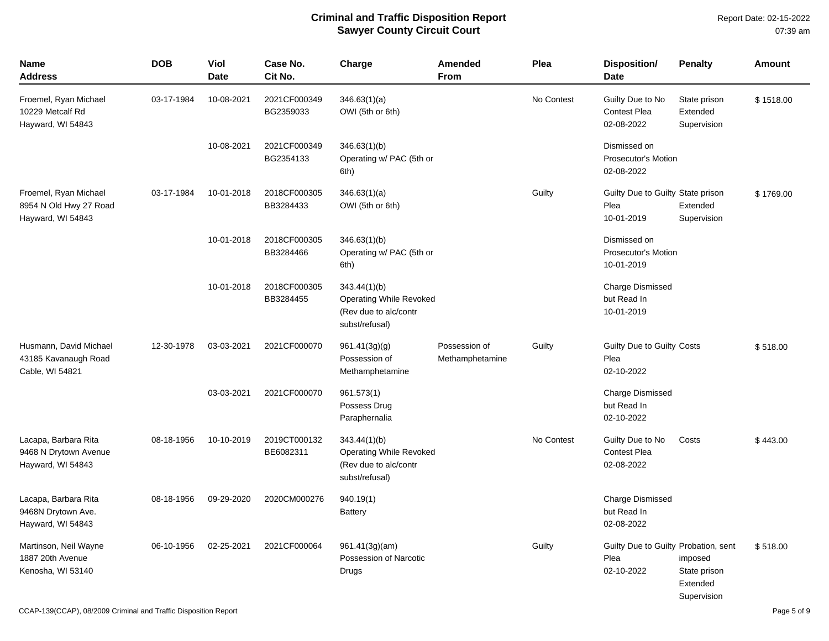Report Date: 02-15-2022 07:39 am

| <b>Name</b><br><b>Address</b>                                        | <b>DOB</b> | Viol<br><b>Date</b> | Case No.<br>Cit No.       | Charge                                                                                    | Amended<br>From                  | Plea       | Disposition/<br><b>Date</b>                                | <b>Penalty</b>                                     | Amount    |
|----------------------------------------------------------------------|------------|---------------------|---------------------------|-------------------------------------------------------------------------------------------|----------------------------------|------------|------------------------------------------------------------|----------------------------------------------------|-----------|
| Froemel, Ryan Michael<br>10229 Metcalf Rd<br>Hayward, WI 54843       | 03-17-1984 | 10-08-2021          | 2021CF000349<br>BG2359033 | 346.63(1)(a)<br>OWI (5th or 6th)                                                          |                                  | No Contest | Guilty Due to No<br><b>Contest Plea</b><br>02-08-2022      | State prison<br>Extended<br>Supervision            | \$1518.00 |
|                                                                      |            | 10-08-2021          | 2021CF000349<br>BG2354133 | 346.63(1)(b)<br>Operating w/ PAC (5th or<br>6th)                                          |                                  |            | Dismissed on<br><b>Prosecutor's Motion</b><br>02-08-2022   |                                                    |           |
| Froemel, Ryan Michael<br>8954 N Old Hwy 27 Road<br>Hayward, WI 54843 | 03-17-1984 | 10-01-2018          | 2018CF000305<br>BB3284433 | 346.63(1)(a)<br>OWI (5th or 6th)                                                          |                                  | Guilty     | Guilty Due to Guilty State prison<br>Plea<br>10-01-2019    | Extended<br>Supervision                            | \$1769.00 |
|                                                                      |            | 10-01-2018          | 2018CF000305<br>BB3284466 | 346.63(1)(b)<br>Operating w/ PAC (5th or<br>6th)                                          |                                  |            | Dismissed on<br><b>Prosecutor's Motion</b><br>10-01-2019   |                                                    |           |
|                                                                      |            | 10-01-2018          | 2018CF000305<br>BB3284455 | 343.44(1)(b)<br><b>Operating While Revoked</b><br>(Rev due to alc/contr<br>subst/refusal) |                                  |            | <b>Charge Dismissed</b><br>but Read In<br>10-01-2019       |                                                    |           |
| Husmann, David Michael<br>43185 Kavanaugh Road<br>Cable, WI 54821    | 12-30-1978 | 03-03-2021          | 2021CF000070              | 961.41(3g)(g)<br>Possession of<br>Methamphetamine                                         | Possession of<br>Methamphetamine | Guilty     | Guilty Due to Guilty Costs<br>Plea<br>02-10-2022           |                                                    | \$518.00  |
|                                                                      |            | 03-03-2021          | 2021CF000070              | 961.573(1)<br>Possess Drug<br>Paraphernalia                                               |                                  |            | <b>Charge Dismissed</b><br>but Read In<br>02-10-2022       |                                                    |           |
| Lacapa, Barbara Rita<br>9468 N Drytown Avenue<br>Hayward, WI 54843   | 08-18-1956 | 10-10-2019          | 2019CT000132<br>BE6082311 | 343.44(1)(b)<br><b>Operating While Revoked</b><br>(Rev due to alc/contr<br>subst/refusal) |                                  | No Contest | Guilty Due to No<br><b>Contest Plea</b><br>02-08-2022      | Costs                                              | \$443.00  |
| Lacapa, Barbara Rita<br>9468N Drytown Ave.<br>Hayward, WI 54843      | 08-18-1956 | 09-29-2020          | 2020CM000276              | 940.19(1)<br><b>Battery</b>                                                               |                                  |            | <b>Charge Dismissed</b><br>but Read In<br>02-08-2022       |                                                    |           |
| Martinson, Neil Wayne<br>1887 20th Avenue<br>Kenosha, WI 53140       | 06-10-1956 | 02-25-2021          | 2021CF000064              | 961.41(3g)(am)<br>Possession of Narcotic<br>Drugs                                         |                                  | Guilty     | Guilty Due to Guilty Probation, sent<br>Plea<br>02-10-2022 | imposed<br>State prison<br>Extended<br>Supervision | \$518.00  |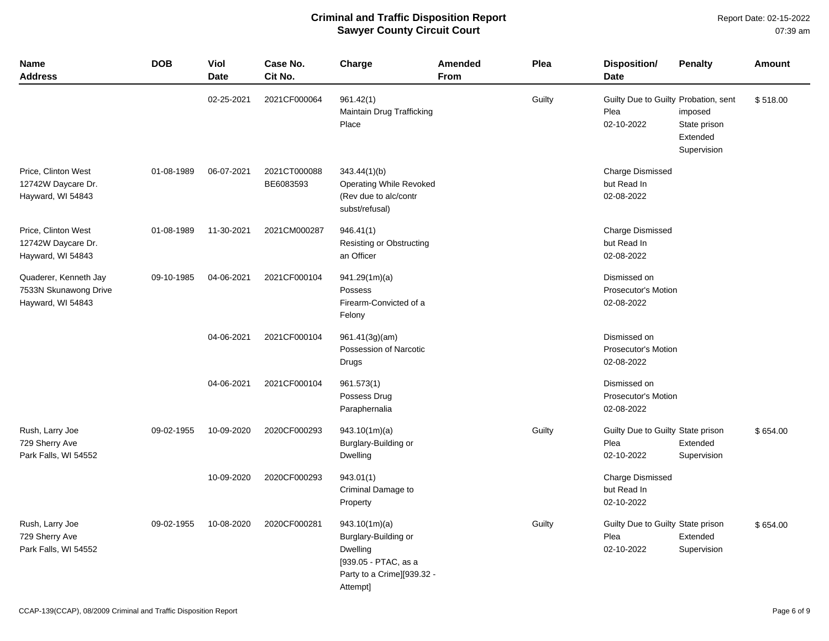Report Date: 02-15-2022 07:39 am

| Name<br><b>Address</b>                                              | <b>DOB</b> | <b>Viol</b><br><b>Date</b> | Case No.<br>Cit No.       | Charge                                                                                                              | Amended<br>From | Plea   | <b>Disposition/</b><br><b>Date</b>                         | <b>Penalty</b>                                     | <b>Amount</b> |
|---------------------------------------------------------------------|------------|----------------------------|---------------------------|---------------------------------------------------------------------------------------------------------------------|-----------------|--------|------------------------------------------------------------|----------------------------------------------------|---------------|
|                                                                     |            | 02-25-2021                 | 2021CF000064              | 961.42(1)<br>Maintain Drug Trafficking<br>Place                                                                     |                 | Guilty | Guilty Due to Guilty Probation, sent<br>Plea<br>02-10-2022 | imposed<br>State prison<br>Extended<br>Supervision | \$518.00      |
| Price, Clinton West<br>12742W Daycare Dr.<br>Hayward, WI 54843      | 01-08-1989 | 06-07-2021                 | 2021CT000088<br>BE6083593 | 343.44(1)(b)<br>Operating While Revoked<br>(Rev due to alc/contr<br>subst/refusal)                                  |                 |        | <b>Charge Dismissed</b><br>but Read In<br>02-08-2022       |                                                    |               |
| Price, Clinton West<br>12742W Daycare Dr.<br>Hayward, WI 54843      | 01-08-1989 | 11-30-2021                 | 2021CM000287              | 946.41(1)<br>Resisting or Obstructing<br>an Officer                                                                 |                 |        | <b>Charge Dismissed</b><br>but Read In<br>02-08-2022       |                                                    |               |
| Quaderer, Kenneth Jay<br>7533N Skunawong Drive<br>Hayward, WI 54843 | 09-10-1985 | 04-06-2021                 | 2021CF000104              | 941.29(1m)(a)<br>Possess<br>Firearm-Convicted of a<br>Felony                                                        |                 |        | Dismissed on<br>Prosecutor's Motion<br>02-08-2022          |                                                    |               |
|                                                                     |            | 04-06-2021                 | 2021CF000104              | 961.41(3g)(am)<br>Possession of Narcotic<br>Drugs                                                                   |                 |        | Dismissed on<br><b>Prosecutor's Motion</b><br>02-08-2022   |                                                    |               |
|                                                                     |            | 04-06-2021                 | 2021CF000104              | 961.573(1)<br>Possess Drug<br>Paraphernalia                                                                         |                 |        | Dismissed on<br>Prosecutor's Motion<br>02-08-2022          |                                                    |               |
| Rush, Larry Joe<br>729 Sherry Ave<br>Park Falls, WI 54552           | 09-02-1955 | 10-09-2020                 | 2020CF000293              | 943.10(1m)(a)<br>Burglary-Building or<br>Dwelling                                                                   |                 | Guilty | Guilty Due to Guilty State prison<br>Plea<br>02-10-2022    | Extended<br>Supervision                            | \$654.00      |
|                                                                     |            | 10-09-2020                 | 2020CF000293              | 943.01(1)<br>Criminal Damage to<br>Property                                                                         |                 |        | <b>Charge Dismissed</b><br>but Read In<br>02-10-2022       |                                                    |               |
| Rush, Larry Joe<br>729 Sherry Ave<br>Park Falls, WI 54552           | 09-02-1955 | 10-08-2020                 | 2020CF000281              | 943.10(1m)(a)<br>Burglary-Building or<br>Dwelling<br>[939.05 - PTAC, as a<br>Party to a Crime][939.32 -<br>Attempt] |                 | Guilty | Guilty Due to Guilty State prison<br>Plea<br>02-10-2022    | Extended<br>Supervision                            | \$654.00      |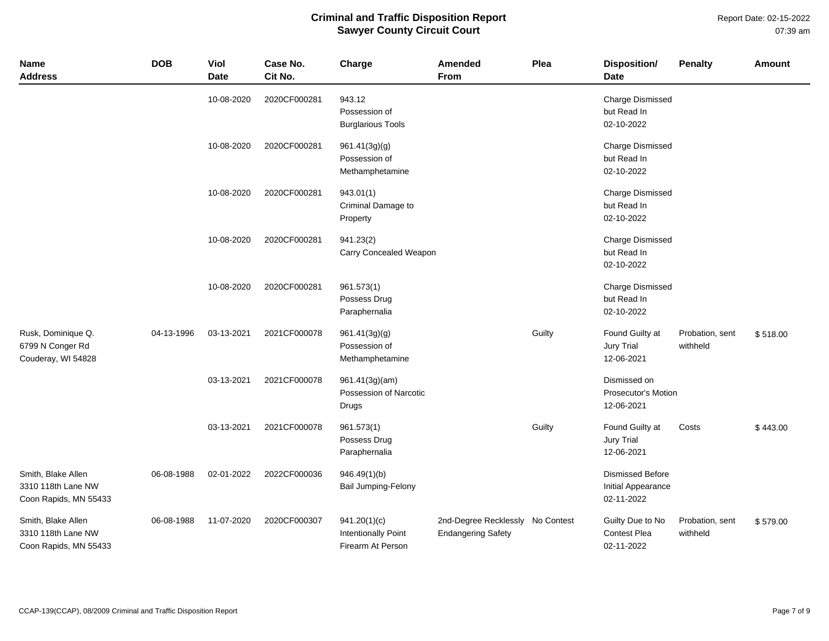Report Date: 02-15-2022 07:39 am

| <b>Name</b><br><b>Address</b>                                     | <b>DOB</b> | Viol<br><b>Date</b> | Case No.<br>Cit No. | Charge                                                          | Amended<br>From                                               | Plea   | <b>Disposition/</b><br><b>Date</b>                          | <b>Penalty</b>              | <b>Amount</b> |
|-------------------------------------------------------------------|------------|---------------------|---------------------|-----------------------------------------------------------------|---------------------------------------------------------------|--------|-------------------------------------------------------------|-----------------------------|---------------|
|                                                                   |            | 10-08-2020          | 2020CF000281        | 943.12<br>Possession of<br><b>Burglarious Tools</b>             |                                                               |        | <b>Charge Dismissed</b><br>but Read In<br>02-10-2022        |                             |               |
|                                                                   |            | 10-08-2020          | 2020CF000281        | 961.41(3g)(g)<br>Possession of<br>Methamphetamine               |                                                               |        | <b>Charge Dismissed</b><br>but Read In<br>02-10-2022        |                             |               |
|                                                                   |            | 10-08-2020          | 2020CF000281        | 943.01(1)<br>Criminal Damage to<br>Property                     |                                                               |        | Charge Dismissed<br>but Read In<br>02-10-2022               |                             |               |
|                                                                   |            | 10-08-2020          | 2020CF000281        | 941.23(2)<br>Carry Concealed Weapon                             |                                                               |        | <b>Charge Dismissed</b><br>but Read In<br>02-10-2022        |                             |               |
|                                                                   |            | 10-08-2020          | 2020CF000281        | 961.573(1)<br>Possess Drug<br>Paraphernalia                     |                                                               |        | <b>Charge Dismissed</b><br>but Read In<br>02-10-2022        |                             |               |
| Rusk, Dominique Q.<br>6799 N Conger Rd<br>Couderay, WI 54828      | 04-13-1996 | 03-13-2021          | 2021CF000078        | 961.41(3g)(g)<br>Possession of<br>Methamphetamine               |                                                               | Guilty | Found Guilty at<br>Jury Trial<br>12-06-2021                 | Probation, sent<br>withheld | \$518.00      |
|                                                                   |            | 03-13-2021          | 2021CF000078        | 961.41(3g)(am)<br>Possession of Narcotic<br>Drugs               |                                                               |        | Dismissed on<br>Prosecutor's Motion<br>12-06-2021           |                             |               |
|                                                                   |            | 03-13-2021          | 2021CF000078        | 961.573(1)<br>Possess Drug<br>Paraphernalia                     |                                                               | Guilty | Found Guilty at<br><b>Jury Trial</b><br>12-06-2021          | Costs                       | \$443.00      |
| Smith, Blake Allen<br>3310 118th Lane NW<br>Coon Rapids, MN 55433 | 06-08-1988 | 02-01-2022          | 2022CF000036        | 946.49(1)(b)<br><b>Bail Jumping-Felony</b>                      |                                                               |        | <b>Dismissed Before</b><br>Initial Appearance<br>02-11-2022 |                             |               |
| Smith, Blake Allen<br>3310 118th Lane NW<br>Coon Rapids, MN 55433 | 06-08-1988 | 11-07-2020          | 2020CF000307        | 941.20(1)(c)<br><b>Intentionally Point</b><br>Firearm At Person | 2nd-Degree Recklessly No Contest<br><b>Endangering Safety</b> |        | Guilty Due to No<br>Contest Plea<br>02-11-2022              | Probation, sent<br>withheld | \$579.00      |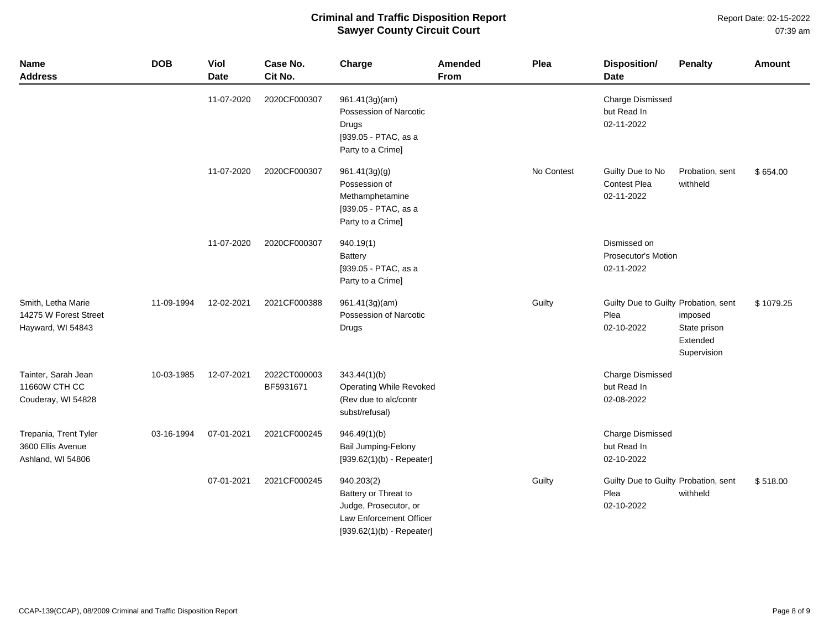Report Date: 02-15-2022 07:39 am

| Name<br><b>Address</b>                                           | <b>DOB</b> | Viol<br><b>Date</b> | Case No.<br>Cit No.       | Charge                                                                                                                | Amended<br>From | Plea       | Disposition/<br><b>Date</b>                                | <b>Penalty</b>                                     | <b>Amount</b> |
|------------------------------------------------------------------|------------|---------------------|---------------------------|-----------------------------------------------------------------------------------------------------------------------|-----------------|------------|------------------------------------------------------------|----------------------------------------------------|---------------|
|                                                                  |            | 11-07-2020          | 2020CF000307              | 961.41(3g)(am)<br>Possession of Narcotic<br>Drugs<br>[939.05 - PTAC, as a<br>Party to a Crime]                        |                 |            | <b>Charge Dismissed</b><br>but Read In<br>02-11-2022       |                                                    |               |
|                                                                  |            | 11-07-2020          | 2020CF000307              | 961.41(3g)(g)<br>Possession of<br>Methamphetamine<br>[939.05 - PTAC, as a<br>Party to a Crime]                        |                 | No Contest | Guilty Due to No<br><b>Contest Plea</b><br>02-11-2022      | Probation, sent<br>withheld                        | \$654.00      |
|                                                                  |            | 11-07-2020          | 2020CF000307              | 940.19(1)<br><b>Battery</b><br>[939.05 - PTAC, as a<br>Party to a Crime]                                              |                 |            | Dismissed on<br>Prosecutor's Motion<br>02-11-2022          |                                                    |               |
| Smith, Letha Marie<br>14275 W Forest Street<br>Hayward, WI 54843 | 11-09-1994 | 12-02-2021          | 2021CF000388              | 961.41(3g)(am)<br>Possession of Narcotic<br>Drugs                                                                     |                 | Guilty     | Guilty Due to Guilty Probation, sent<br>Plea<br>02-10-2022 | imposed<br>State prison<br>Extended<br>Supervision | \$1079.25     |
| Tainter, Sarah Jean<br>11660W CTH CC<br>Couderay, WI 54828       | 10-03-1985 | 12-07-2021          | 2022CT000003<br>BF5931671 | 343.44(1)(b)<br><b>Operating While Revoked</b><br>(Rev due to alc/contr<br>subst/refusal)                             |                 |            | <b>Charge Dismissed</b><br>but Read In<br>02-08-2022       |                                                    |               |
| Trepania, Trent Tyler<br>3600 Ellis Avenue<br>Ashland, WI 54806  | 03-16-1994 | 07-01-2021          | 2021CF000245              | 946.49(1)(b)<br><b>Bail Jumping-Felony</b><br>$[939.62(1)(b) - Repeater]$                                             |                 |            | <b>Charge Dismissed</b><br>but Read In<br>02-10-2022       |                                                    |               |
|                                                                  |            | 07-01-2021          | 2021CF000245              | 940.203(2)<br>Battery or Threat to<br>Judge, Prosecutor, or<br>Law Enforcement Officer<br>$[939.62(1)(b) - Repeated]$ |                 | Guilty     | Guilty Due to Guilty Probation, sent<br>Plea<br>02-10-2022 | withheld                                           | \$518.00      |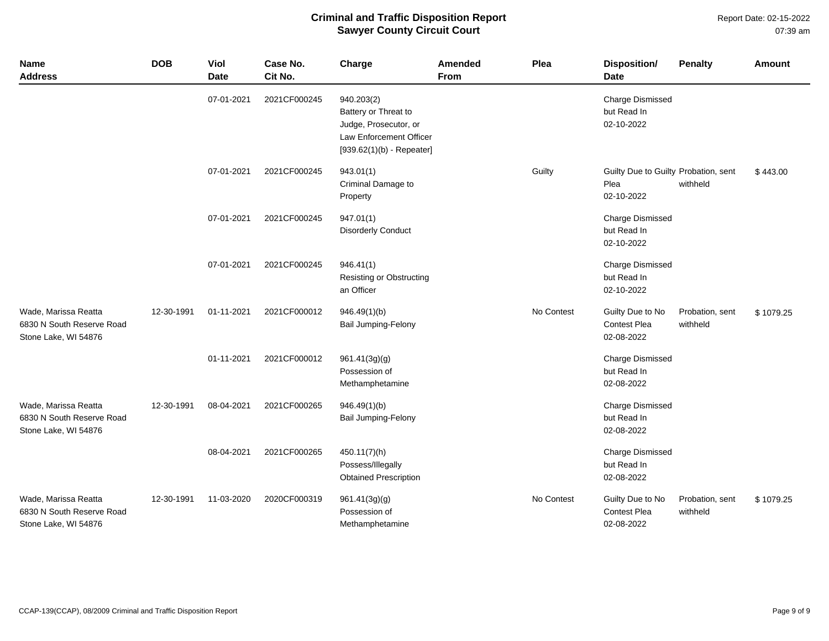Report Date: 02-15-2022 07:39 am

| Name<br><b>Address</b>                                                    | <b>DOB</b> | Viol<br><b>Date</b> | Case No.<br>Cit No. | Charge                                                                                                                | Amended<br><b>From</b> | Plea       | <b>Disposition/</b><br><b>Date</b>                         | <b>Penalty</b>              | <b>Amount</b> |
|---------------------------------------------------------------------------|------------|---------------------|---------------------|-----------------------------------------------------------------------------------------------------------------------|------------------------|------------|------------------------------------------------------------|-----------------------------|---------------|
|                                                                           |            | 07-01-2021          | 2021CF000245        | 940.203(2)<br>Battery or Threat to<br>Judge, Prosecutor, or<br>Law Enforcement Officer<br>$[939.62(1)(b) - Repeated]$ |                        |            | <b>Charge Dismissed</b><br>but Read In<br>02-10-2022       |                             |               |
|                                                                           |            | 07-01-2021          | 2021CF000245        | 943.01(1)<br>Criminal Damage to<br>Property                                                                           |                        | Guilty     | Guilty Due to Guilty Probation, sent<br>Plea<br>02-10-2022 | withheld                    | \$443.00      |
|                                                                           |            | 07-01-2021          | 2021CF000245        | 947.01(1)<br><b>Disorderly Conduct</b>                                                                                |                        |            | <b>Charge Dismissed</b><br>but Read In<br>02-10-2022       |                             |               |
|                                                                           |            | 07-01-2021          | 2021CF000245        | 946.41(1)<br>Resisting or Obstructing<br>an Officer                                                                   |                        |            | <b>Charge Dismissed</b><br>but Read In<br>02-10-2022       |                             |               |
| Wade, Marissa Reatta<br>6830 N South Reserve Road<br>Stone Lake, WI 54876 | 12-30-1991 | 01-11-2021          | 2021CF000012        | 946.49(1)(b)<br><b>Bail Jumping-Felony</b>                                                                            |                        | No Contest | Guilty Due to No<br><b>Contest Plea</b><br>02-08-2022      | Probation, sent<br>withheld | \$1079.25     |
|                                                                           |            | 01-11-2021          | 2021CF000012        | 961.41(3g)(g)<br>Possession of<br>Methamphetamine                                                                     |                        |            | <b>Charge Dismissed</b><br>but Read In<br>02-08-2022       |                             |               |
| Wade, Marissa Reatta<br>6830 N South Reserve Road<br>Stone Lake, WI 54876 | 12-30-1991 | 08-04-2021          | 2021CF000265        | 946.49(1)(b)<br><b>Bail Jumping-Felony</b>                                                                            |                        |            | Charge Dismissed<br>but Read In<br>02-08-2022              |                             |               |
|                                                                           |            | 08-04-2021          | 2021CF000265        | 450.11(7)(h)<br>Possess/Illegally<br><b>Obtained Prescription</b>                                                     |                        |            | Charge Dismissed<br>but Read In<br>02-08-2022              |                             |               |
| Wade, Marissa Reatta<br>6830 N South Reserve Road<br>Stone Lake, WI 54876 | 12-30-1991 | 11-03-2020          | 2020CF000319        | 961.41(3g)(g)<br>Possession of<br>Methamphetamine                                                                     |                        | No Contest | Guilty Due to No<br><b>Contest Plea</b><br>02-08-2022      | Probation, sent<br>withheld | \$1079.25     |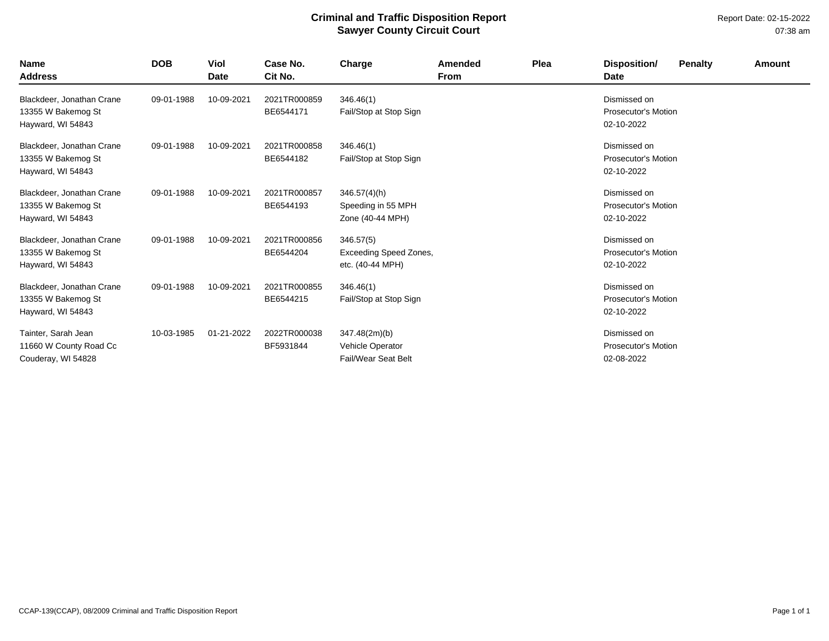Report Date: 02-15-2022 07:38 am

| <b>Name</b><br><b>Address</b>                                        | <b>DOB</b> | <b>Viol</b><br>Date | Case No.<br>Cit No.       | Charge                                                         | Amended<br><b>From</b> | Plea | Disposition/<br><b>Date</b>                              | <b>Penalty</b> | Amount |
|----------------------------------------------------------------------|------------|---------------------|---------------------------|----------------------------------------------------------------|------------------------|------|----------------------------------------------------------|----------------|--------|
| Blackdeer, Jonathan Crane<br>13355 W Bakemog St<br>Hayward, WI 54843 | 09-01-1988 | 10-09-2021          | 2021TR000859<br>BE6544171 | 346.46(1)<br>Fail/Stop at Stop Sign                            |                        |      | Dismissed on<br><b>Prosecutor's Motion</b><br>02-10-2022 |                |        |
| Blackdeer, Jonathan Crane<br>13355 W Bakemog St<br>Hayward, WI 54843 | 09-01-1988 | 10-09-2021          | 2021TR000858<br>BE6544182 | 346.46(1)<br>Fail/Stop at Stop Sign                            |                        |      | Dismissed on<br><b>Prosecutor's Motion</b><br>02-10-2022 |                |        |
| Blackdeer, Jonathan Crane<br>13355 W Bakemog St<br>Hayward, WI 54843 | 09-01-1988 | 10-09-2021          | 2021TR000857<br>BE6544193 | $346.57(4)$ (h)<br>Speeding in 55 MPH<br>Zone (40-44 MPH)      |                        |      | Dismissed on<br><b>Prosecutor's Motion</b><br>02-10-2022 |                |        |
| Blackdeer, Jonathan Crane<br>13355 W Bakemog St<br>Hayward, WI 54843 | 09-01-1988 | 10-09-2021          | 2021TR000856<br>BE6544204 | 346.57(5)<br><b>Exceeding Speed Zones,</b><br>etc. (40-44 MPH) |                        |      | Dismissed on<br><b>Prosecutor's Motion</b><br>02-10-2022 |                |        |
| Blackdeer, Jonathan Crane<br>13355 W Bakemog St<br>Hayward, WI 54843 | 09-01-1988 | 10-09-2021          | 2021TR000855<br>BE6544215 | 346.46(1)<br>Fail/Stop at Stop Sign                            |                        |      | Dismissed on<br><b>Prosecutor's Motion</b><br>02-10-2022 |                |        |
| Tainter, Sarah Jean<br>11660 W County Road Cc<br>Couderay, WI 54828  | 10-03-1985 | 01-21-2022          | 2022TR000038<br>BF5931844 | 347.48(2m)(b)<br>Vehicle Operator<br>Fail/Wear Seat Belt       |                        |      | Dismissed on<br><b>Prosecutor's Motion</b><br>02-08-2022 |                |        |